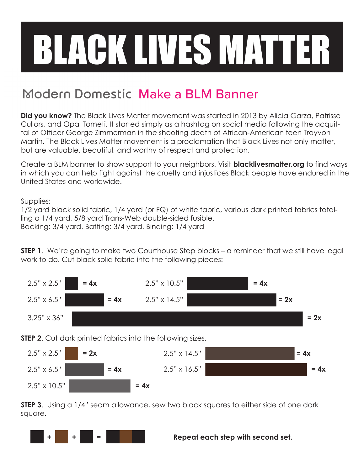## BLACK LIVES MATTER

## Modern Domestic Make a BLM Banner

**Did you know?** The Black Lives Matter movement was started in 2013 by Alicia Garza, Patrisse Cullors, and Opal Tometi. It started simply as a hashtag on social media following the acquittal of Officer George Zimmerman in the shooting death of African-American teen Trayvon Martin. The Black Lives Matter movement is a proclamation that Black Lives not only matter, but are valuable, beautiful, and worthy of respect and protection.

Create a BLM banner to show support to your neighbors. Visit **blacklivesmatter.org** to find ways in which you can help fight against the cruelty and injustices Black people have endured in the United States and worldwide.

Supplies:

1/2 yard black solid fabric, 1/4 yard (or FQ) of white fabric, various dark printed fabrics totalling a 1/4 yard, 5/8 yard Trans-Web double-sided fusible. Backing: 3/4 yard. Batting: 3/4 yard. Binding: 1/4 yard

**STEP 1.** We're going to make two Courthouse Step blocks – a reminder that we still have legal work to do. Cut black solid fabric into the following pieces:



**STEP 3.** Using a 1/4" seam allowance, sew two black squares to either side of one dark square.



**+ + = Repeat each step with second set.**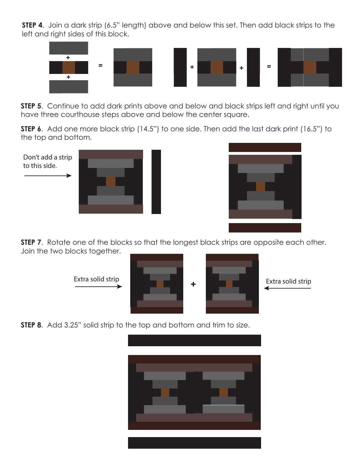**STEP 4.** Join a dark strip (6.5" length) above and below this set. Then add black strips to the left and right sides of this block.



**STEP 5.** Continue to add dark prints above and below and black strips left and right until you have three courthouse steps above and below the center square.

**STEP 6.** Add one more black strip (14.5") to one side. Then add the last dark print (16.5") to the top and bottom.





**STEP 7.** Rotate one of the blocks so that the longest black strips are opposite each other. Join the two blocks together.



**STEP 8**. Add 3.25" solid strip to the top and bottom and trim to size.

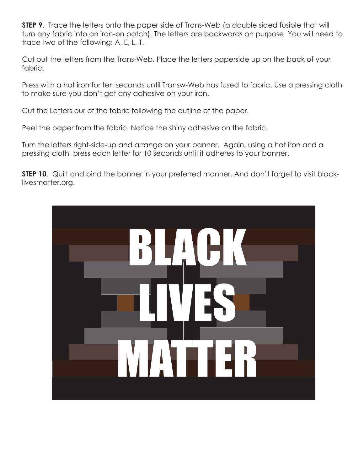**STEP 9.** Trace the letters onto the paper side of Trans-Web (a double sided fusible that will turn any fabric into an iron-on patch). The letters are backwards on purpose. You will need to trace two of the following: A, E, L, T.

Cut out the letters from the Trans-Web. Place the letters paperside up on the back of your fabric.

Press with a hot iron for ten seconds until Transw-Web has fused to fabric. Use a pressing cloth to make sure you don't get any adhesive on your iron.

Cut the Letters our of the fabric following the outline of the paper.

Peel the paper from the fabric. Notice the shiny adhesive on the fabric.

Turn the letters right-side-up and arrange on your banner. Again, using a hot iron and a pressing cloth, press each letter for 10 seconds until it adheres to your banner.

**STEP 10.** Quilt and bind the banner in your preferred manner. And don't forget to visit blacklivesmatter.org.

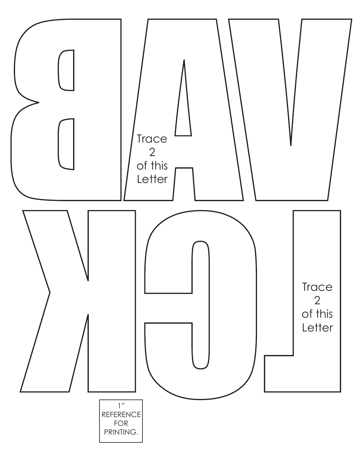